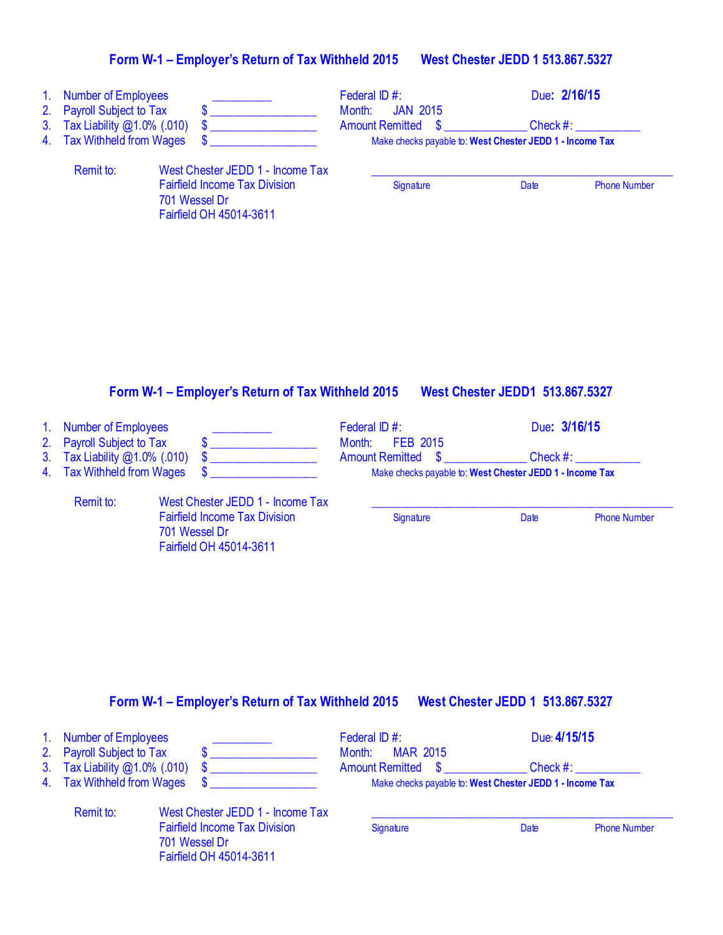| 1. Number of Employees                                     |                                                                                  | Federal ID #:                                            |             | Due: 2/16/15        |  |
|------------------------------------------------------------|----------------------------------------------------------------------------------|----------------------------------------------------------|-------------|---------------------|--|
| 2. Payroll Subject to Tax<br>3. Tax Liability @1.0% (.010) |                                                                                  | <b>JAN 2015</b><br>Month:<br><b>Amount Remitted \$</b>   | $Check \#:$ |                     |  |
| 4. Tax Withheld from Wages                                 |                                                                                  | Make checks payable to: West Chester JEDD 1 - Income Tax |             |                     |  |
| Remit to:                                                  | West Chester JEDD 1 - Income Tax                                                 |                                                          |             |                     |  |
|                                                            | <b>Fairfield Income Tax Division</b><br>701 Wessel Dr<br>Fairfield OH 45014-3611 | Signature                                                | Date        | <b>Phone Number</b> |  |

### **Form W-1 – Employer's Return of Tax Withheld 2015 West Chester JEDD1 513.867.5327**

701 Wessel Dr

Fairfield OH 45014-3611

| 1. Number of Employees<br>2. Payroll Subject to Tax |                                      | Federal ID $#$ :<br>Month: FEB 2015                      | Due: 3/16/15 |                     |
|-----------------------------------------------------|--------------------------------------|----------------------------------------------------------|--------------|---------------------|
|                                                     |                                      |                                                          |              |                     |
| 3. Tax Liability @1.0% (.010)                       |                                      | <b>Amount Remitted \$</b>                                | $Check \#:$  |                     |
| 4. Tax Withheld from Wages                          |                                      | Make checks payable to: West Chester JEDD 1 - Income Tax |              |                     |
| Remit to:                                           | West Chester JEDD 1 - Income Tax     |                                                          |              |                     |
|                                                     | <b>Fairfield Income Tax Division</b> | Signature                                                | Date         | <b>Phone Number</b> |

# **Form W-1 – Employer's Return of Tax Withheld 2015 West Chester JEDD 1 513.867.5327**

| 1. Number of Employees           |                                                                                  | Federal ID #:                                            | Due: 4/15/15 |                     |
|----------------------------------|----------------------------------------------------------------------------------|----------------------------------------------------------|--------------|---------------------|
| 2. Payroll Subject to Tax        |                                                                                  | Month: MAR 2015<br><b>Amount Remitted \$</b>             | Check #:     |                     |
| 3. Tax Liability $@1.0\%$ (.010) |                                                                                  |                                                          |              |                     |
| 4. Tax Withheld from Wages       |                                                                                  | Make checks payable to: West Chester JEDD 1 - Income Tax |              |                     |
| Remit to:                        | West Chester JEDD 1 - Income Tax                                                 |                                                          |              |                     |
|                                  | <b>Fairfield Income Tax Division</b><br>701 Wessel Dr<br>Fairfield OH 45014-3611 | Signature                                                | Date         | <b>Phone Number</b> |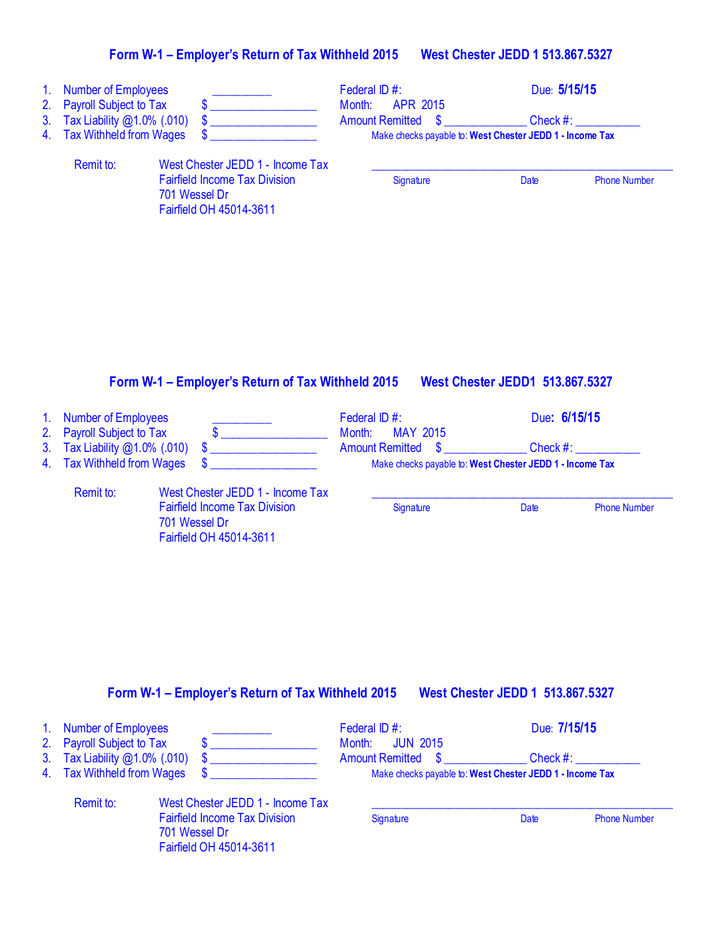| 1.<br>2.<br>3.<br>4. | <b>Number of Employees</b><br><b>Payroll Subject to Tax</b><br>Tax Liability @1.0% (.010)<br><b>Tax Withheld from Wages</b>              | \$<br>\$                                                                                                                                                                  | Federal ID #:<br>Month:<br><b>APR 2015</b><br><b>Amount Remitted</b><br>$\boldsymbol{\mathsf{S}}$ | Due: 5/15/15<br>Check $#$ :<br>Make checks payable to: West Chester JEDD 1 - Income Tax                                |  |
|----------------------|------------------------------------------------------------------------------------------------------------------------------------------|---------------------------------------------------------------------------------------------------------------------------------------------------------------------------|---------------------------------------------------------------------------------------------------|------------------------------------------------------------------------------------------------------------------------|--|
|                      | Remit to:                                                                                                                                | West Chester JEDD 1 - Income Tax<br><b>Fairfield Income Tax Division</b><br>701 Wessel Dr<br>Fairfield OH 45014-3611<br>Form W-1 - Employer's Return of Tax Withheld 2015 | Signature                                                                                         | <b>Phone Number</b><br><b>Date</b><br><b>West Chester JEDD1 513.867.5327</b>                                           |  |
| 1.<br>2.<br>3.<br>4. | <b>Number of Employees</b><br><b>Payroll Subject to Tax</b><br>Tax Liability @1.0% (.010)<br><b>Tax Withheld from Wages</b><br>Remit to: | $\mathbf{\$}$<br>\$<br>\$<br>West Chester JEDD 1 - Income Tax<br><b>Fairfield Income Tax Division</b><br>701 Wessel Dr<br>Fairfield OH 45014-3611                         | Federal ID#:<br>Month:<br><b>MAY 2015</b><br><b>Amount Remitted</b><br>\$<br>Signature            | Due: 6/15/15<br>Check $#$ :<br>Make checks payable to: West Chester JEDD 1 - Income Tax<br><b>Phone Number</b><br>Date |  |

# **Form W-1 – Employer's Return of Tax Withheld 2015 West Chester JEDD 1 513.867.5327**

| 1. Number of Employees        |                                      | Federal ID $#$ :                                         | Due: 7/15/15 |                     |  |
|-------------------------------|--------------------------------------|----------------------------------------------------------|--------------|---------------------|--|
| 2. Payroll Subject to Tax     |                                      | <b>Month: JUN 2015</b>                                   |              |                     |  |
| 3. Tax Liability @1.0% (.010) |                                      | <b>Amount Remitted \$</b>                                | Check #:     |                     |  |
| 4. Tax Withheld from Wages    |                                      | Make checks payable to: West Chester JEDD 1 - Income Tax |              |                     |  |
| Remit to:                     | West Chester JEDD 1 - Income Tax     |                                                          |              |                     |  |
|                               | <b>Fairfield Income Tax Division</b> | Signature                                                | Date         | <b>Phone Number</b> |  |
|                               | 701 Wessel Dr                        |                                                          |              |                     |  |

Fairfield OH 45014-3611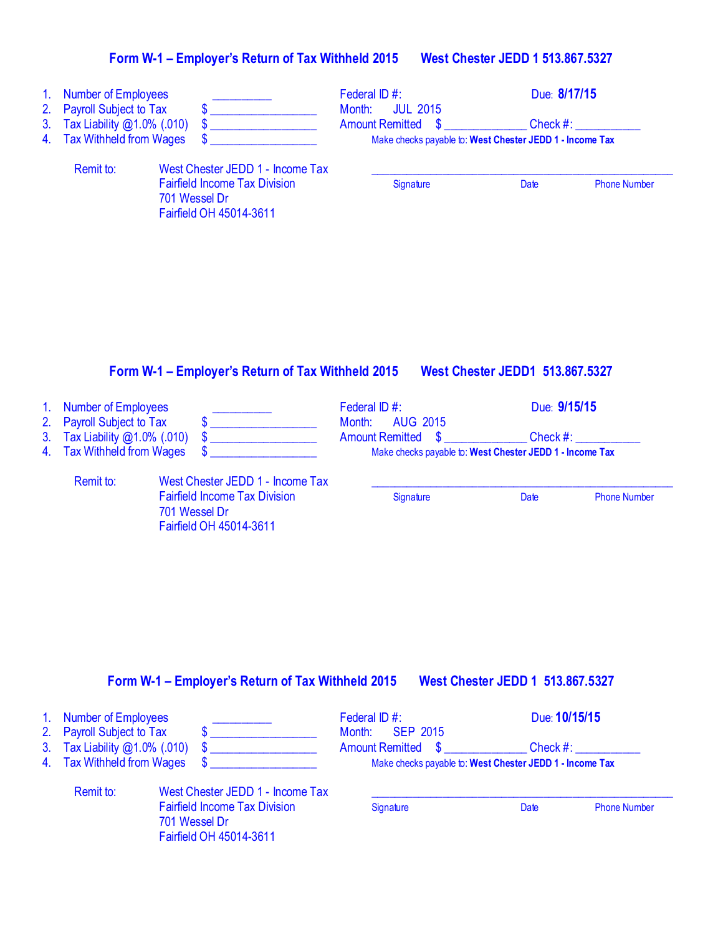| 1 <sub>1</sub><br>2.<br>3 <sub>1</sub><br>4. | <b>Number of Employees</b><br><b>Payroll Subject to Tax</b><br>Tax Liability @1.0% (.010)<br><b>Tax Withheld from Wages</b> |                                                                                                                      | Federal ID #:<br>Month:<br><b>JUL 2015</b><br><b>Amount Remitted</b><br>$\boldsymbol{\mathsf{s}}$<br>Make checks payable to: West Chester JEDD 1 - Income Tax | Due: 8/17/15<br>Check $#:$             |
|----------------------------------------------|-----------------------------------------------------------------------------------------------------------------------------|----------------------------------------------------------------------------------------------------------------------|---------------------------------------------------------------------------------------------------------------------------------------------------------------|----------------------------------------|
|                                              | Remit to:                                                                                                                   | West Chester JEDD 1 - Income Tax<br><b>Fairfield Income Tax Division</b><br>701 Wessel Dr<br>Fairfield OH 45014-3611 | Signature                                                                                                                                                     | <b>Date</b><br><b>Phone Number</b>     |
|                                              |                                                                                                                             |                                                                                                                      |                                                                                                                                                               |                                        |
|                                              |                                                                                                                             | Form W-1 - Employer's Return of Tax Withheld 2015                                                                    |                                                                                                                                                               | <b>West Chester JEDD1 513.867.5327</b> |
| 1 <sub>1</sub><br>2.<br>3.                   | <b>Number of Employees</b><br><b>Payroll Subject to Tax</b><br>Tax Liability @1.0% (.010)                                   | \$                                                                                                                   | Federal ID #:<br>Month:<br><b>AUG 2015</b><br><b>Amount Remitted</b><br>$\boldsymbol{\mathsf{S}}$                                                             | Due: 9/15/15<br>Check #:               |
| 4.                                           | Tax Withheld from Wages<br>Ramit to:                                                                                        | Mest Chester JEDD 1 - Income Tay                                                                                     | Make checks payable to: West Chester JEDD 1 - Income Tax                                                                                                      |                                        |

Remit to: West Chester JEDD 1 - Income Tax Fairfield Income Tax Division Signature Signature Date Phone Number 701 Wessel Dr Fairfield OH 45014-3611

#### **Form W-1 – Employer's Return of Tax Withheld 2015 West Chester JEDD 1 513.867.5327**

| 1. Number of Employees<br>2. Payroll Subject to Tax         |                                                                                                                      | Federal ID $#$ :<br><b>SEP 2015</b><br>Month:                                         |      | Due: 10/15/15       |  |
|-------------------------------------------------------------|----------------------------------------------------------------------------------------------------------------------|---------------------------------------------------------------------------------------|------|---------------------|--|
| 3. Tax Liability @1.0% (.010)<br>4. Tax Withheld from Wages |                                                                                                                      | <b>Amount Remitted \$</b><br>Make checks payable to: West Chester JEDD 1 - Income Tax |      | Check #:            |  |
| Remit to:                                                   | West Chester JEDD 1 - Income Tax<br><b>Fairfield Income Tax Division</b><br>701 Wessel Dr<br>Fairfield OH 45014-3611 | Signature                                                                             | Date | <b>Phone Number</b> |  |